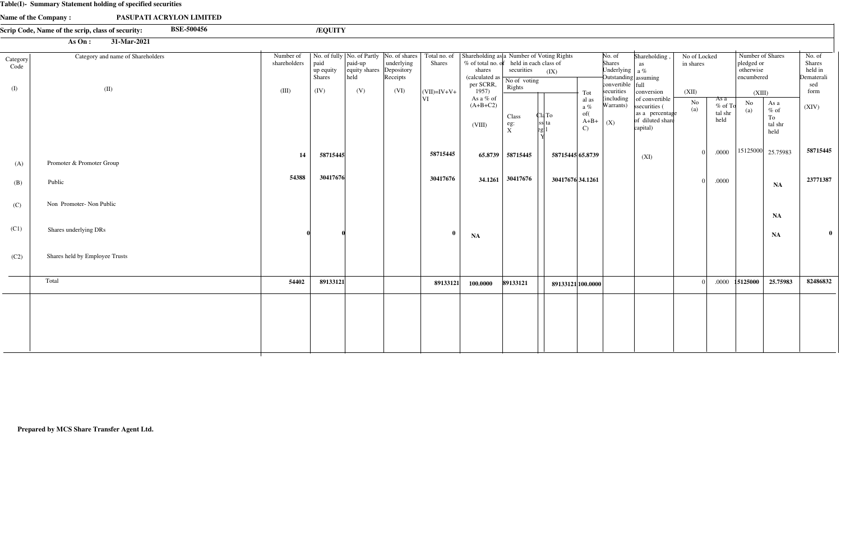|                         | Table(I)- Summary Statement holding of specified securities            |                                    |                                            |                                         |                                                                                              |                                 |                                                                                                                              |                                                               |                                                                     |                                                                                                                          |                                                                                    |                                    |                                      |                                                                     |                                                                                |                                                                 |
|-------------------------|------------------------------------------------------------------------|------------------------------------|--------------------------------------------|-----------------------------------------|----------------------------------------------------------------------------------------------|---------------------------------|------------------------------------------------------------------------------------------------------------------------------|---------------------------------------------------------------|---------------------------------------------------------------------|--------------------------------------------------------------------------------------------------------------------------|------------------------------------------------------------------------------------|------------------------------------|--------------------------------------|---------------------------------------------------------------------|--------------------------------------------------------------------------------|-----------------------------------------------------------------|
|                         | Name of the Company:<br>PASUPATI ACRYLON LIMITED                       |                                    |                                            |                                         |                                                                                              |                                 |                                                                                                                              |                                                               |                                                                     |                                                                                                                          |                                                                                    |                                    |                                      |                                                                     |                                                                                |                                                                 |
|                         | <b>BSE-500456</b><br>Scrip Code, Name of the scrip, class of security: |                                    | /EQUITY                                    |                                         |                                                                                              |                                 |                                                                                                                              |                                                               |                                                                     |                                                                                                                          |                                                                                    |                                    |                                      |                                                                     |                                                                                |                                                                 |
|                         | As On:<br>31-Mar-2021                                                  |                                    |                                            |                                         |                                                                                              |                                 |                                                                                                                              |                                                               |                                                                     |                                                                                                                          |                                                                                    |                                    |                                      |                                                                     |                                                                                |                                                                 |
| Category<br>Code<br>(I) | Category and name of Shareholders<br>(II)                              | Number of<br>shareholders<br>(III) | paid<br>up equity<br><b>Shares</b><br>(IV) | paid-up<br>equity shares<br>held<br>(V) | No. of fully  No. of Partly  No. of shares  <br>underlying<br>Depository<br>Receipts<br>(VI) | <b>Shares</b><br>$ (VII)=IV+V+$ | Total no. of Shareholding as a Number of Voting Rights<br>% of total no. of<br>shares<br>(calculated as<br>per SCRR,<br>1957 | held in each class of<br>securities<br>No of voting<br>Rights | (IX)<br>Tot                                                         | No. of<br><b>Shares</b><br>Underlying $ a\%$<br>Outstanding assuming<br>$\text{convertible}$ $\text{full}$<br>securities | Shareholding,<br>as<br>conversion                                                  | No of Locked<br>in shares<br>(XII) |                                      | Number of Shares<br>pledged or<br>otherwise<br>encumbered<br>(XIII) |                                                                                | No. of<br><b>Shares</b><br>held in<br>Dematerali<br>sed<br>form |
|                         |                                                                        |                                    |                                            |                                         |                                                                                              | VI                              | As a % of<br>$(A+B+C2)$<br>(VIII)                                                                                            | Class<br>eg:<br>X                                             | al as<br>$a\%$<br>of(<br>Cla To<br>$A+B+$<br>ss ta<br>$\mathcal{C}$ | (including)<br>Warrants)<br>(X)                                                                                          | of convertible<br>ssecurities (<br>as a percentage<br>of diluted share<br>capital) | No<br>(a)                          | As a<br>$%$ of To<br>tal shr<br>held | N <sub>o</sub><br>(a)                                               | As a<br>$\%$ of<br>To<br>tal shr<br>held                                       | (XIV)                                                           |
| (A)                     | Promoter & Promoter Group                                              | 14                                 | 58715445                                   |                                         |                                                                                              | 58715445                        | 65.8739                                                                                                                      | 58715445                                                      | 58715445 65.8739                                                    |                                                                                                                          | (XI)                                                                               | $\Omega$                           | .0000                                |                                                                     | $\begin{array}{ c c c c c c } \hline 15125000 & 25.75983 \\\hline \end{array}$ | 58715445                                                        |
| (B)                     | Public                                                                 | 54388                              | 30417676                                   |                                         |                                                                                              | 30417676                        | 34.1261                                                                                                                      | 30417676                                                      | 30417676 34.1261                                                    |                                                                                                                          |                                                                                    |                                    | .0000                                |                                                                     | NA                                                                             | 23771387                                                        |
| (C)                     | Non Promoter-Non Public                                                |                                    |                                            |                                         |                                                                                              |                                 |                                                                                                                              |                                                               |                                                                     |                                                                                                                          |                                                                                    |                                    |                                      |                                                                     | <b>NA</b>                                                                      |                                                                 |
| (C1)                    | Shares underlying DRs                                                  |                                    |                                            |                                         |                                                                                              | $\mathbf{0}$                    | <b>NA</b>                                                                                                                    |                                                               |                                                                     |                                                                                                                          |                                                                                    |                                    |                                      |                                                                     | NA                                                                             |                                                                 |
| (C2)                    | Shares held by Employee Trusts                                         |                                    |                                            |                                         |                                                                                              |                                 |                                                                                                                              |                                                               |                                                                     |                                                                                                                          |                                                                                    |                                    |                                      |                                                                     |                                                                                |                                                                 |
|                         | Total                                                                  | 54402                              | 89133121                                   |                                         |                                                                                              | 89133121                        | 100.0000                                                                                                                     | 89133121                                                      | 89133121 100.0000                                                   |                                                                                                                          |                                                                                    |                                    | .0000                                | 15125000                                                            | 25.75983                                                                       | 82486832                                                        |

**Prepared by MCS Share Transfer Agent Ltd.**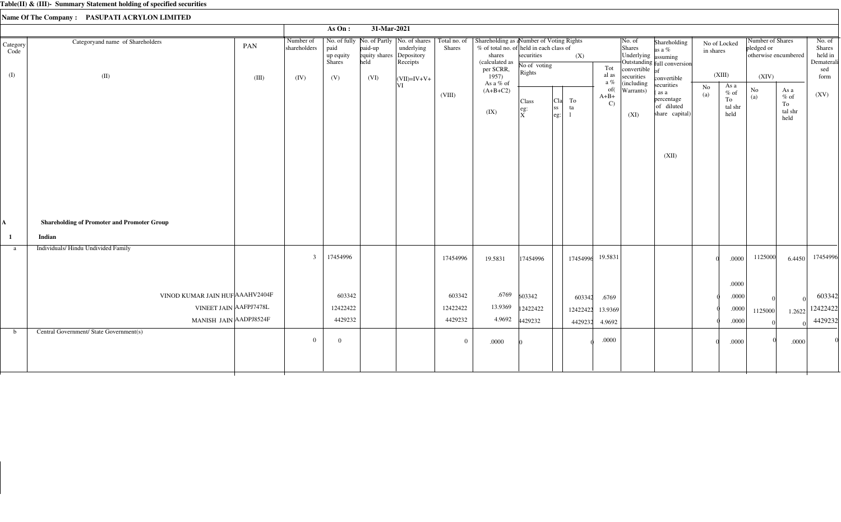|                  |                                                    |       |                           | As $On:$                    | 31-Mar-2021                      |                                                                                    |                               |                                                                                                                               |                                   |                                                               |          |                               |                                         |                                                                   |           |                                         |                                |                                          |                                                  |
|------------------|----------------------------------------------------|-------|---------------------------|-----------------------------|----------------------------------|------------------------------------------------------------------------------------|-------------------------------|-------------------------------------------------------------------------------------------------------------------------------|-----------------------------------|---------------------------------------------------------------|----------|-------------------------------|-----------------------------------------|-------------------------------------------------------------------|-----------|-----------------------------------------|--------------------------------|------------------------------------------|--------------------------------------------------|
| Category<br>Code | Categoryand name of Shareholders                   | PAN   | Number of<br>shareholders | paid<br>up equity<br>Shares | paid-up<br>equity shares<br>held | No. of fully No. of Partly   No. of shares<br>underlying<br>Depository<br>Receipts | Total no. of<br><b>Shares</b> | Shareholding as a Number of Voting Rights<br>% of total no. of held in each class of<br>shares<br>(calculated as<br>per SCRR, | securities<br>No of voting        |                                                               | (X)      | Tot                           | No. of<br>Shares<br>Underlying assuming | Shareholding<br>as a $%$<br>Outstanding full conversion           | in shares | No of Locked                            | Number of Shares<br>pledged or | otherwise encumbered                     | No. of<br>Shares<br>held in<br>Dematerali<br>sed |
| (I)              | (II)                                               | (III) | (IV)                      | (V)                         | (VI)                             | $\vert$ (VII)=IV+V+                                                                |                               | 1957)                                                                                                                         | Rights                            |                                                               |          | al as<br>a %                  | convertible $\vert$ of<br>securities    | convertible                                                       |           | (XIII)                                  | (XIV)                          |                                          | form                                             |
|                  |                                                    |       |                           |                             |                                  | VI                                                                                 | (VIII)                        | As a % of<br>$(A+B+C2)$<br>(IX)                                                                                               | Class<br>$e$ g:<br>$\overline{x}$ | ${\rm To}$<br>Cla<br> ss <br>ta<br>$\left  \text{eg:}\right.$ |          | of(<br>$A+B+$<br>$\mathbf{C}$ | (including<br>Warrants)<br>(XI)         | securities<br>(as a<br>percentage<br>of diluted<br>share capital) | No<br>(a) | As a<br>$%$ of<br>To<br>tal shr<br>held | $\rm No$<br>(a)                | As a<br>$\%$ of<br>To<br>tal shr<br>held | (XV)                                             |
|                  |                                                    |       |                           |                             |                                  |                                                                                    |                               |                                                                                                                               |                                   |                                                               |          |                               |                                         | (XII)                                                             |           |                                         |                                |                                          |                                                  |
| A                | <b>Shareholding of Promoter and Promoter Group</b> |       |                           |                             |                                  |                                                                                    |                               |                                                                                                                               |                                   |                                                               |          |                               |                                         |                                                                   |           |                                         |                                |                                          |                                                  |
| -1               | Indian                                             |       |                           |                             |                                  |                                                                                    |                               |                                                                                                                               |                                   |                                                               |          |                               |                                         |                                                                   |           |                                         |                                |                                          |                                                  |
| a                | Individuals/ Hindu Undivided Family                |       | $\overline{3}$            | 17454996                    |                                  |                                                                                    | 17454996                      | 19.5831                                                                                                                       | 17454996                          |                                                               | 17454996 | 19.5831                       |                                         |                                                                   |           | .0000                                   | 1125000                        | 6.4450                                   | 17454996                                         |
|                  |                                                    |       |                           |                             |                                  |                                                                                    |                               |                                                                                                                               |                                   |                                                               |          |                               |                                         |                                                                   |           | .0000                                   |                                |                                          |                                                  |
|                  | VINOD KUMAR JAIN HUF AAAHV2404F                    |       |                           | 603342                      |                                  |                                                                                    | 603342                        | .6769                                                                                                                         | 603342                            |                                                               | 603342   | .6769                         |                                         |                                                                   |           | .0000                                   |                                |                                          | 603342                                           |
|                  | VINEET JAIN AAFPJ7478L                             |       |                           | 12422422                    |                                  |                                                                                    | 12422422                      | 13.9369                                                                                                                       | 12422422                          |                                                               | 12422422 | 13.9369                       |                                         |                                                                   |           | .0000                                   | 1125000                        | 1.2622                                   | 12422422                                         |
|                  | MANISH JAIN AADPJ8524F                             |       |                           | 4429232                     |                                  |                                                                                    | 4429232                       | 4.9692                                                                                                                        | 4429232                           |                                                               | 4429232  | 4.9692                        |                                         |                                                                   |           | .0000                                   |                                |                                          | 4429232                                          |
| $\mathbf b$      | Central Government/ State Government(s)            |       | $\overline{0}$            | $\overline{0}$              |                                  |                                                                                    | $\overline{0}$                | .0000                                                                                                                         |                                   |                                                               |          | $.0000$                       |                                         |                                                                   |           | .0000                                   |                                | .0000                                    |                                                  |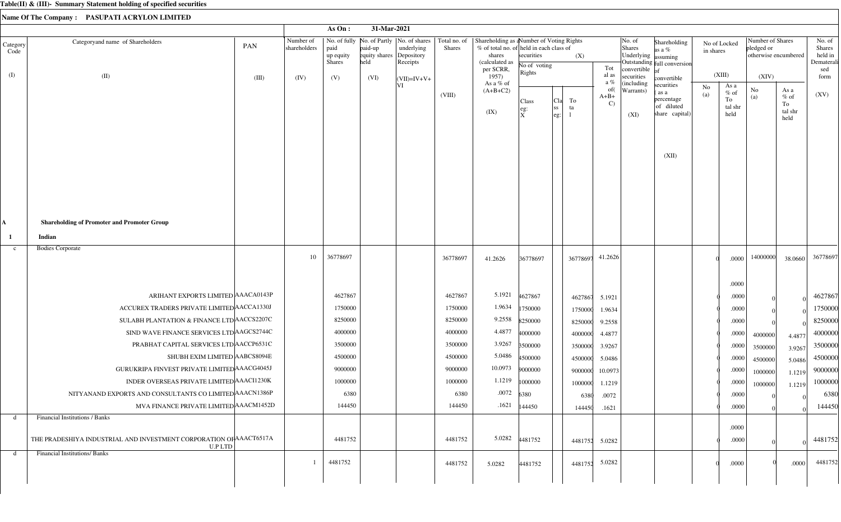|                         |                                                                               |       |                           | As On :                            | 31-Mar-2021                                 |                                                                                       |               |                                                                                                                                        |                                      |                                |                     |                                                                                                              |                                                       |                                     |                                 |                                                        |                                          |                                                          |
|-------------------------|-------------------------------------------------------------------------------|-------|---------------------------|------------------------------------|---------------------------------------------|---------------------------------------------------------------------------------------|---------------|----------------------------------------------------------------------------------------------------------------------------------------|--------------------------------------|--------------------------------|---------------------|--------------------------------------------------------------------------------------------------------------|-------------------------------------------------------|-------------------------------------|---------------------------------|--------------------------------------------------------|------------------------------------------|----------------------------------------------------------|
| Category<br>Code<br>(I) | Categoryand name of Shareholders<br>(II)                                      | PAN   | Number of<br>shareholders | paid<br>up equity<br><b>Shares</b> | paid-up<br>equity shares Depository<br>held | No. of fully   No. of Partly   No. of shares   Total no. of<br>underlying<br>Receipts | <b>Shares</b> | Shareholding as a Number of Voting Rights<br>% of total no. of held in each class of<br>shares<br>(calculated as<br>per SCRR,<br>1957) | securities<br>No of voting<br>Rights | (X)                            |                     | $\vert$ No. of<br>Shares<br>Underlying assuming<br>Tot<br>convertible $\overline{of}$<br>al as<br>securities | Shareholding<br>as a %<br>Outstanding full conversion | No of Locked<br>in shares<br>(XIII) |                                 | Number of Shares<br>pledged or<br>otherwise encumbered |                                          | No. of<br>Shares<br>held in<br>Dematerali<br>sed<br>form |
|                         |                                                                               | (III) | (IV)                      | (V)                                | (VI)                                        | $\vert$ (VII)=IV+V+<br>ΙVΙ                                                            |               | As a % of                                                                                                                              |                                      |                                |                     | a %<br>(including                                                                                            | convertible<br>securities                             | No                                  | As a                            | (XIV)                                                  |                                          |                                                          |
|                         |                                                                               |       |                           |                                    |                                             |                                                                                       | (VIII)        | $(A+B+C2)$<br>(IX)                                                                                                                     | Class<br>eg:<br>$\mathbf x$          | To<br> Cla<br> SS<br>ta<br>eg: | $A+B+$              | of(<br>Warrants)<br>$\mathbf{C}$<br>(XI)                                                                     | as a<br>percentage<br>of diluted<br>share capital)    | (a)                                 | $%$ of<br>To<br>tal shr<br>held | No<br>(a)                                              | As a<br>$\%$ of<br>To<br>tal shr<br>held | (XV)                                                     |
|                         |                                                                               |       |                           |                                    |                                             |                                                                                       |               |                                                                                                                                        |                                      |                                |                     |                                                                                                              | (XII)                                                 |                                     |                                 |                                                        |                                          |                                                          |
| A                       | <b>Shareholding of Promoter and Promoter Group</b>                            |       |                           |                                    |                                             |                                                                                       |               |                                                                                                                                        |                                      |                                |                     |                                                                                                              |                                                       |                                     |                                 |                                                        |                                          |                                                          |
| -1                      | Indian                                                                        |       |                           |                                    |                                             |                                                                                       |               |                                                                                                                                        |                                      |                                |                     |                                                                                                              |                                                       |                                     |                                 |                                                        |                                          |                                                          |
| $\mathbf{c}$            | <b>Bodies Corporate</b>                                                       |       |                           |                                    |                                             |                                                                                       |               |                                                                                                                                        |                                      |                                |                     |                                                                                                              |                                                       |                                     |                                 |                                                        |                                          |                                                          |
|                         |                                                                               |       | 10                        | 36778697                           |                                             |                                                                                       | 36778697      | 41.2626                                                                                                                                | 36778697                             |                                | 41.2626<br>36778697 |                                                                                                              |                                                       |                                     | .0000                           | 14000000                                               | 38.0660                                  | 36778697                                                 |
|                         |                                                                               |       |                           |                                    |                                             |                                                                                       |               |                                                                                                                                        |                                      |                                |                     |                                                                                                              |                                                       |                                     | .0000                           |                                                        |                                          |                                                          |
|                         | ARIHANT EXPORTS LIMITED AAACA0143P                                            |       |                           | 4627867                            |                                             |                                                                                       | 4627867       | 5.1921                                                                                                                                 | 4627867                              |                                | 5.1921<br>4627867   |                                                                                                              |                                                       |                                     | .0000                           |                                                        |                                          | 4627867                                                  |
|                         | ACCUREX TRADERS PRIVATE LIMITED ACCA1330J                                     |       |                           | 1750000                            |                                             |                                                                                       | 1750000       | 1.9634                                                                                                                                 | 1750000                              |                                | 1750000<br>1.9634   |                                                                                                              |                                                       |                                     | .0000                           |                                                        |                                          | 1750000                                                  |
|                         | SULABH PLANTATION & FINANCE LTD ACCS2207C                                     |       |                           | 8250000                            |                                             |                                                                                       | 8250000       | 9.2558                                                                                                                                 | 8250000                              |                                | 8250000<br>9.2558   |                                                                                                              |                                                       |                                     | .0000                           |                                                        |                                          | 8250000                                                  |
|                         | SIND WAVE FINANCE SERVICES LTD AGCS2744C                                      |       |                           | 4000000                            |                                             |                                                                                       | 4000000       | 4.4877                                                                                                                                 | 4000000                              |                                | 4000000<br>4.4877   |                                                                                                              |                                                       |                                     | .0000                           | 4000000                                                | 4.4877                                   | 4000000                                                  |
|                         | PRABHAT CAPITAL SERVICES LTD ACCP6531C                                        |       |                           | 3500000                            |                                             |                                                                                       | 3500000       | 3.9267                                                                                                                                 | 3500000                              |                                | 3500000<br>3.9267   |                                                                                                              |                                                       |                                     | .0000                           | 3500000                                                | 3.9267                                   | 3500000                                                  |
|                         | SHUBH EXIM LIMITED AABCS8094E                                                 |       |                           | 4500000                            |                                             |                                                                                       | 4500000       | 5.0486                                                                                                                                 | 4500000                              |                                | 4500000<br>5.0486   |                                                                                                              |                                                       |                                     | .0000                           | 4500000                                                | 5.0486                                   | 4500000                                                  |
|                         | GURUKRIPA FINVEST PRIVATE LIMITED AAACG4045J                                  |       |                           | 9000000                            |                                             |                                                                                       | 9000000       | 10.0973                                                                                                                                | 9000000                              |                                | 10.0973<br>9000000  |                                                                                                              |                                                       |                                     | .0000                           | 1000000                                                | 1.1219                                   | 9000000                                                  |
|                         | INDER OVERSEAS PRIVATE LIMITED AAACI1230K                                     |       |                           | 1000000                            |                                             |                                                                                       | 1000000       |                                                                                                                                        | $1.1219$ 1000000                     |                                | 1000000 1.1219      |                                                                                                              |                                                       |                                     | .0000                           | 1000000                                                | 1.1219                                   | 1000000                                                  |
|                         | NITYANAND EXPORTS AND CONSULTANTS CO LIMITED AAACN1386P                       |       |                           | 6380                               |                                             |                                                                                       | 6380          | .0072                                                                                                                                  | 6380                                 |                                | .0072<br>6380       |                                                                                                              |                                                       |                                     | .0000                           |                                                        |                                          | 6380                                                     |
|                         | MVA FINANCE PRIVATE LIMITED AAACM1452D                                        |       |                           | 144450                             |                                             |                                                                                       | 144450        |                                                                                                                                        | $.1621$  144450                      |                                | 144450<br>.1621     |                                                                                                              |                                                       |                                     | .0000                           |                                                        |                                          | 144450                                                   |
| d                       | Financial Institutions / Banks                                                |       |                           |                                    |                                             |                                                                                       |               |                                                                                                                                        |                                      |                                |                     |                                                                                                              |                                                       |                                     |                                 |                                                        |                                          |                                                          |
|                         | THE PRADESHIYA INDUSTRIAL AND INVESTMENT CORPORATION OF AAACT6517A<br>U.P LTD |       |                           | 4481752                            |                                             |                                                                                       | 4481752       |                                                                                                                                        | 5.0282 4481752                       |                                | 4481752 5.0282      |                                                                                                              |                                                       |                                     | .0000<br>.0000                  |                                                        |                                          | 4481752                                                  |
| d                       | <b>Financial Institutions/ Banks</b>                                          |       |                           | 4481752                            |                                             |                                                                                       | 4481752       | 5.0282                                                                                                                                 | 4481752                              |                                | 5.0282<br>4481752   |                                                                                                              |                                                       |                                     | .0000                           |                                                        | .0000                                    | 4481752                                                  |
|                         |                                                                               |       |                           |                                    |                                             |                                                                                       |               |                                                                                                                                        |                                      |                                |                     |                                                                                                              |                                                       |                                     |                                 |                                                        |                                          |                                                          |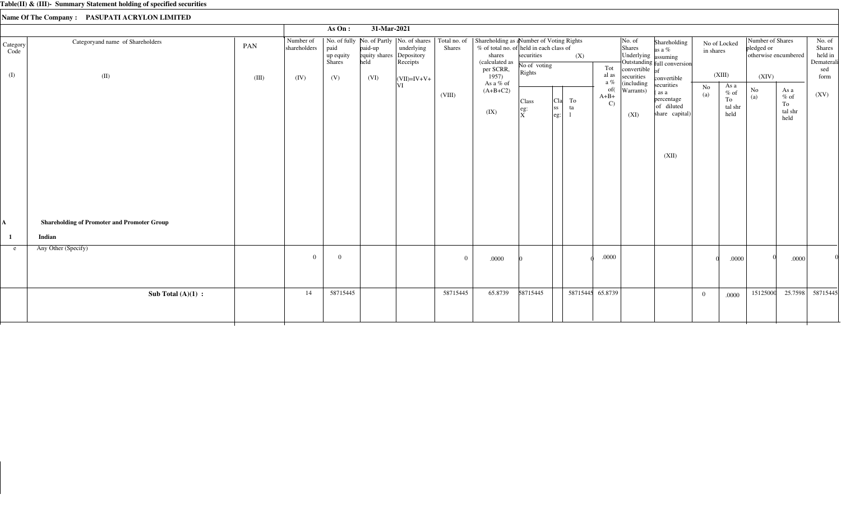|                         |                                                    |              |                                   | As On:                             | 31-Mar-2021                              |                                                       |          |                                                                                                                                                                                                    |                                                                                |                                |                                         |                                                                                   |                                                                            |           |                                         |                                                                 |                                          |                                                          |
|-------------------------|----------------------------------------------------|--------------|-----------------------------------|------------------------------------|------------------------------------------|-------------------------------------------------------|----------|----------------------------------------------------------------------------------------------------------------------------------------------------------------------------------------------------|--------------------------------------------------------------------------------|--------------------------------|-----------------------------------------|-----------------------------------------------------------------------------------|----------------------------------------------------------------------------|-----------|-----------------------------------------|-----------------------------------------------------------------|------------------------------------------|----------------------------------------------------------|
| Category<br>Code<br>(I) | Categoryand name of Shareholders<br>(II)           | PAN<br>(III) | Number of<br>shareholders<br>(IV) | paid<br>up equity<br>Shares<br>(V) | paid-up<br>equity shares<br>held<br>(VI) | underlying<br>Depository<br>Receipts<br>$(VII)=IV+V+$ | Shares   | No. of fully No. of Partly   No. of shares   Total no. of   Shareholding as a Number of Voting Rights<br>% of total no. of held in each class of<br>shares<br>(calculated as<br>per SCRR,<br>1957) | securities<br>No of voting<br>Rights                                           | (X)                            | Tot<br>al as                            | $\vert$ No. of<br>Shares<br>Underlying assuming<br>convertible $of$<br>securities | Shareholding<br>as a %<br>Outstanding full conversion<br>convertible       | in shares | No of Locked<br>(XIII)                  | Number of Shares<br>pledged or<br>otherwise encumbered<br>(XIV) |                                          | No. of<br>Shares<br>held in<br>Dematerali<br>sed<br>form |
|                         |                                                    |              |                                   |                                    |                                          | ΙVΙ                                                   | (VIII)   | As a % of<br>$(A+B+C2)$<br>(IX)                                                                                                                                                                    | Class<br>$\left  \begin{smallmatrix} \text{eg:} \ X \end{smallmatrix} \right $ | To<br>Cla<br> ss <br>ta<br>eg: | a $\%$<br>of(<br>$A+B+$<br>$\mathbf{C}$ | (including<br>Warrants)<br>(XI)                                                   | securities<br>(as a<br>percentage<br>of diluted<br>share capital)<br>(XII) | No<br>(a) | As a<br>$%$ of<br>To<br>tal shr<br>held | $\rm No$<br>(a)                                                 | As a<br>$\%$ of<br>To<br>tal shr<br>held | (XV)                                                     |
| A                       | <b>Shareholding of Promoter and Promoter Group</b> |              |                                   |                                    |                                          |                                                       |          |                                                                                                                                                                                                    |                                                                                |                                |                                         |                                                                                   |                                                                            |           |                                         |                                                                 |                                          |                                                          |
|                         | Indian                                             |              |                                   |                                    |                                          |                                                       |          |                                                                                                                                                                                                    |                                                                                |                                |                                         |                                                                                   |                                                                            |           |                                         |                                                                 |                                          |                                                          |
| e                       | Any Other (Specify)                                |              | $\Omega$                          | $\theta$                           |                                          |                                                       | $\Omega$ | .0000                                                                                                                                                                                              |                                                                                |                                | $.0000$                                 |                                                                                   |                                                                            |           | .0000                                   |                                                                 | .0000                                    |                                                          |
|                         | Sub Total $(A)(1)$ :                               |              | 14                                | 58715445                           |                                          |                                                       | 58715445 | 65.8739                                                                                                                                                                                            | 58715445                                                                       |                                | 58715445 65.8739                        |                                                                                   |                                                                            | $\Omega$  | .0000                                   | 15125000                                                        | 25.7598                                  | 58715445                                                 |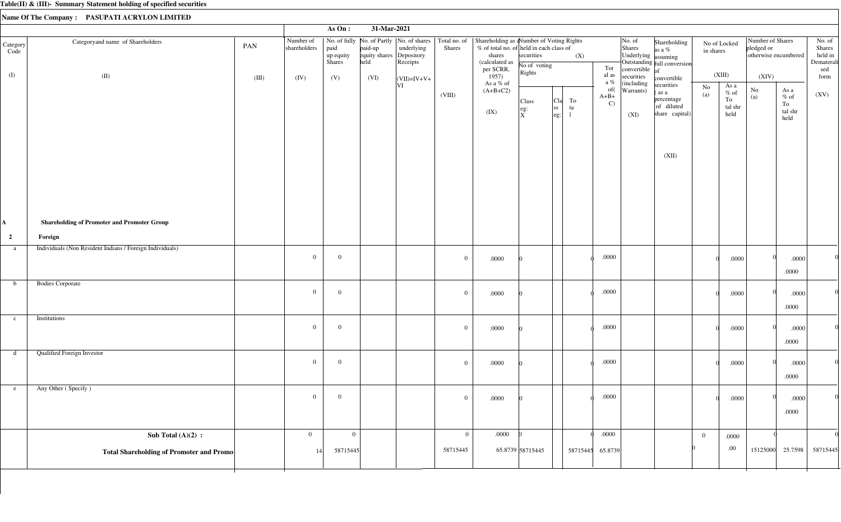|                         |                                                          |       |                           | As On:                      | 31-Mar-2021                                 |                        |                |                                                                                                                                                                                |                                                                                       |                                              |                               |                                                             |                                                                           |                           |                                          |                                                        |                                          |                                                  |
|-------------------------|----------------------------------------------------------|-------|---------------------------|-----------------------------|---------------------------------------------|------------------------|----------------|--------------------------------------------------------------------------------------------------------------------------------------------------------------------------------|---------------------------------------------------------------------------------------|----------------------------------------------|-------------------------------|-------------------------------------------------------------|---------------------------------------------------------------------------|---------------------------|------------------------------------------|--------------------------------------------------------|------------------------------------------|--------------------------------------------------|
| Category<br>Code        | Categoryand name of Shareholders                         | PAN   | Number of<br>shareholders | paid<br>up equity<br>Shares | paid-up<br>equity shares Depository<br>held | underlying<br>Receipts | <b>Shares</b>  | No. of fully   No. of Partly   No. of shares   Total no. of   Shareholding as a Number of Voting Rights<br>% of total no. of held in each class of<br>shares<br>(calculated as | securities<br>No of voting                                                            | (X)                                          | Tot                           | No. of<br>Shares<br>Underlying assuming<br>convertible $of$ | Shareholding<br>as a %<br>Outstanding full conversion                     | No of Locked<br>in shares |                                          | Number of Shares<br>pledged or<br>otherwise encumbered |                                          | No. of<br>Shares<br>held in<br>Dematerali<br>sed |
| (I)                     | (II)                                                     | (III) | (IV)                      | (V)                         | (VI)                                        | $\vert$ (VII)=IV+V+    |                | per SCRR,<br>1957)<br>As a % of                                                                                                                                                | Rights                                                                                |                                              | al as<br>a $\%$               | securities<br>$\left $ (including                           | convertible                                                               | (XIII)                    |                                          | (XIV)                                                  |                                          | form                                             |
|                         |                                                          |       |                           |                             |                                             | VI                     | (VIII)         | $(A+B+C2)$<br>(IX)                                                                                                                                                             | Class<br>$\left  \begin{smallmatrix} \text{eg}: \ \text{X} \end{smallmatrix} \right.$ | To<br>Cla<br> ss<br>ta<br>$ {\rm eg} \colon$ | of(<br>$A+B+$<br>$\mathbf{C}$ | Warrants)<br>(XI)                                           | securities<br>as a<br>percentage<br>of diluted<br>share capital)<br>(XII) | No<br>(a)                 | As a<br>$\%$ of<br>To<br>tal shr<br>held | $\rm No$<br>(a)                                        | As a<br>$\%$ of<br>To<br>tal shr<br>held | (XV)                                             |
| A.                      | <b>Shareholding of Promoter and Promoter Group</b>       |       |                           |                             |                                             |                        |                |                                                                                                                                                                                |                                                                                       |                                              |                               |                                                             |                                                                           |                           |                                          |                                                        |                                          |                                                  |
| $\overline{\mathbf{2}}$ | Foreign                                                  |       |                           |                             |                                             |                        |                |                                                                                                                                                                                |                                                                                       |                                              |                               |                                                             |                                                                           |                           |                                          |                                                        |                                          |                                                  |
| a                       | Individuals (Non Resident Indians / Foreign Individuals) |       | $\overline{0}$            | $\overline{0}$              |                                             |                        | $\overline{0}$ | .0000                                                                                                                                                                          |                                                                                       |                                              | .0000                         |                                                             |                                                                           |                           | .0000                                    |                                                        | .0000<br>.0000                           |                                                  |
| b                       | <b>Bodies Corporate</b>                                  |       | $\overline{0}$            | $\overline{0}$              |                                             |                        | $\overline{0}$ | .0000                                                                                                                                                                          |                                                                                       |                                              | .0000                         |                                                             |                                                                           |                           | .0000                                    |                                                        | .0000<br>.0000                           |                                                  |
| $\mathbf{c}$            | Institutions                                             |       | $\overline{0}$            | $\Omega$                    |                                             |                        | $\overline{0}$ | .0000                                                                                                                                                                          |                                                                                       |                                              | .0000                         |                                                             |                                                                           |                           | .0000                                    |                                                        | .0000<br>.0000                           |                                                  |
| d                       | <b>Qualified Foreign Investor</b>                        |       | $\overline{0}$            | $\overline{0}$              |                                             |                        | $\overline{0}$ | $.0000\,$                                                                                                                                                                      |                                                                                       |                                              | .0000                         |                                                             |                                                                           |                           | .0000                                    |                                                        | .0000<br>$.0000\,$                       |                                                  |
| e                       | Any Other (Specify)                                      |       | $\overline{0}$            | $\overline{0}$              |                                             |                        | $\overline{0}$ | .0000                                                                                                                                                                          |                                                                                       |                                              | $.0000\,$                     |                                                             |                                                                           |                           | .0000                                    |                                                        | .0000<br>.0000                           |                                                  |
|                         | Sub Total $(A)(2)$ :                                     |       | $\overline{0}$            | $\overline{0}$              |                                             |                        | $\overline{0}$ | .0000                                                                                                                                                                          |                                                                                       |                                              | .0000                         |                                                             |                                                                           | $\overline{0}$            | .0000                                    |                                                        |                                          |                                                  |
|                         | Total Shareholding of Promoter and Promo                 |       | 14                        | 58715445                    |                                             |                        | 58715445       |                                                                                                                                                                                | 65.8739 58715445                                                                      |                                              | 58715445 65.8739              |                                                             |                                                                           |                           | .00.                                     |                                                        | 15125000 25.7598                         | 58715445                                         |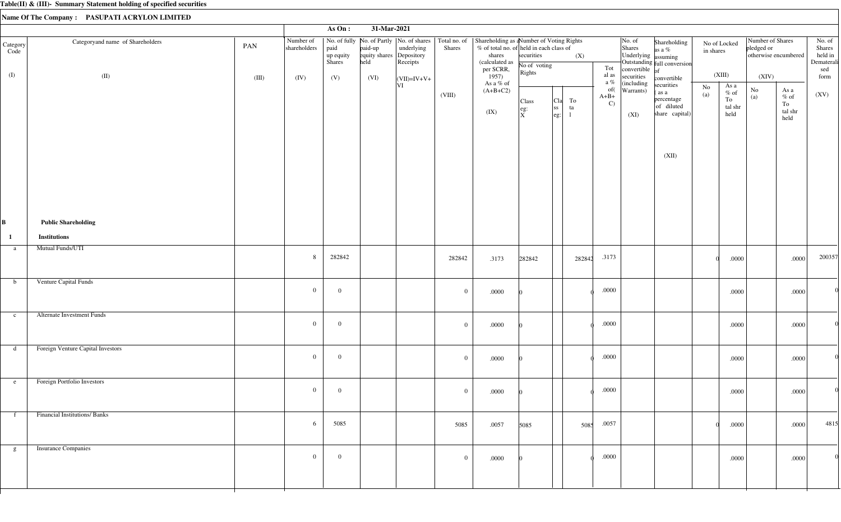|                  |                                     |       |                           | As On:                      | 31-Mar-2021                                 |                        |              |                                                                                                                                                                                             |                                                                       |                                          |          |                                |                                                                                |                                                                   |                                                       |       |                                                        |                                                                       |                                                  |
|------------------|-------------------------------------|-------|---------------------------|-----------------------------|---------------------------------------------|------------------------|--------------|---------------------------------------------------------------------------------------------------------------------------------------------------------------------------------------------|-----------------------------------------------------------------------|------------------------------------------|----------|--------------------------------|--------------------------------------------------------------------------------|-------------------------------------------------------------------|-------------------------------------------------------|-------|--------------------------------------------------------|-----------------------------------------------------------------------|--------------------------------------------------|
| Category<br>Code | Categoryand name of Shareholders    | PAN   | Number of<br>shareholders | paid<br>up equity<br>Shares | paid-up<br>equity shares Depository<br>held | underlying<br>Receipts | Shares       | No. of fully   No. of Partly   No. of shares   Total no. of   Shareholding as a Number of Voting Rights<br>% of total no. of held in each class of<br>shares<br>(calculated as<br>per SCRR, | securities<br>No of voting                                            |                                          | (X)      | Tot                            | $\vert$ No. of<br>Shares<br>Underlying assuming<br>convertible $\overline{of}$ | Shareholding<br>as a %<br>Outstanding full conversion             | No of Locked<br>in shares                             |       | Number of Shares<br>pledged or<br>otherwise encumbered |                                                                       | No. of<br>Shares<br>held in<br>Dematerali<br>sed |
| (I)              | (II)                                | (III) | (IV)                      | (V)                         | (VI)                                        | $\vert$ (VII)=IV+V+    |              | 1957)<br>As a % of                                                                                                                                                                          | Rights                                                                |                                          |          | al as<br>a $\%$                | securities<br>(including                                                       | convertible                                                       | (XIII)                                                |       | (XIV)                                                  |                                                                       | form                                             |
|                  |                                     |       |                           |                             |                                             | VI                     | (VIII)       | $(A+B+C2)$<br>(IX)                                                                                                                                                                          | Class<br>$\left  \begin{array}{c} \text{eg:} \ X \end{array} \right $ | <sub>C1a</sub>  <br><sub>ss</sub><br>eg: | To<br>ta | of(<br>$A+B+$<br>$\mathcal{C}$ | Warrants)<br>(XI)                                                              | securities<br>(as a<br>percentage<br>of diluted<br>share capital) | As a<br>No<br>$\%$ of<br>(a)<br>To<br>tal shr<br>held |       | $\rm No$<br>(a)                                        | As a<br>$\%$ of<br>To<br>$\ensuremath{\text{tal}}\xspace$ shr<br>held | (XV)                                             |
|                  |                                     |       |                           |                             |                                             |                        |              |                                                                                                                                                                                             |                                                                       |                                          |          |                                |                                                                                | (XII)                                                             |                                                       |       |                                                        |                                                                       |                                                  |
| B                | <b>Public Shareholding</b>          |       |                           |                             |                                             |                        |              |                                                                                                                                                                                             |                                                                       |                                          |          |                                |                                                                                |                                                                   |                                                       |       |                                                        |                                                                       |                                                  |
| $\mathbf{1}$     | <b>Institutions</b>                 |       |                           |                             |                                             |                        |              |                                                                                                                                                                                             |                                                                       |                                          |          |                                |                                                                                |                                                                   |                                                       |       |                                                        |                                                                       |                                                  |
| a                | <b>Mutual Funds/UTI</b>             |       | 8                         | 282842                      |                                             |                        | 282842       | .3173                                                                                                                                                                                       | 282842                                                                |                                          | 282842   | .3173                          |                                                                                |                                                                   |                                                       | .0000 |                                                        | .0000                                                                 | 200357                                           |
| $\mathbf b$      | Venture Capital Funds               |       | $\overline{0}$            | $\overline{0}$              |                                             |                        | $\mathbf{0}$ | .0000                                                                                                                                                                                       |                                                                       |                                          |          | $.0000\,$                      |                                                                                |                                                                   |                                                       | .0000 |                                                        | $.0000$                                                               |                                                  |
| $\mathbf{c}$     | Alternate Investment Funds          |       | $\overline{0}$            | $\overline{0}$              |                                             |                        | $\mathbf{0}$ | .0000                                                                                                                                                                                       |                                                                       |                                          |          | $.0000$                        |                                                                                |                                                                   |                                                       | .0000 |                                                        | .0000                                                                 |                                                  |
| d                | Foreign Venture Capital Investors   |       | $\mathbf{0}$              | $\overline{0}$              |                                             |                        | $\mathbf{0}$ | .0000                                                                                                                                                                                       |                                                                       |                                          |          | $.0000$                        |                                                                                |                                                                   |                                                       | .0000 |                                                        | .0000                                                                 |                                                  |
| e                | Foreign Portfolio Investors         |       | $\overline{0}$            | $\overline{0}$              |                                             |                        | $\mathbf{0}$ | .0000                                                                                                                                                                                       |                                                                       |                                          |          | .0000                          |                                                                                |                                                                   |                                                       | .0000 |                                                        | .0000                                                                 | $\Omega$                                         |
| f                | <b>Financial Institutions/Banks</b> |       | 6                         | 5085                        |                                             |                        | 5085         | .0057                                                                                                                                                                                       | 5085                                                                  |                                          | 5085     | .0057                          |                                                                                |                                                                   |                                                       | .0000 |                                                        | .0000                                                                 | 4815                                             |
| g                | <b>Insurance Companies</b>          |       | $\overline{0}$            | $\overline{0}$              |                                             |                        | $\mathbf{0}$ | .0000                                                                                                                                                                                       |                                                                       |                                          |          | .0000                          |                                                                                |                                                                   |                                                       | .0000 |                                                        | .0000                                                                 |                                                  |
|                  |                                     |       |                           |                             |                                             |                        |              |                                                                                                                                                                                             |                                                                       |                                          |          |                                |                                                                                |                                                                   |                                                       |       |                                                        |                                                                       |                                                  |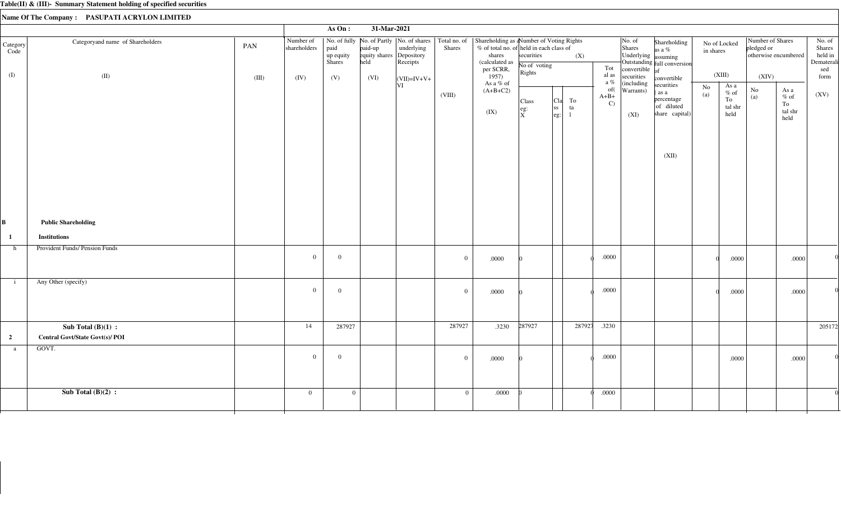| Number of<br>  No. of fully   No. of Partly   No. of shares   Total no. of   Shareholding as a Number of Voting Rights<br> No. of<br>Number of Shares<br>Categoryand name of Shareholders<br>Shareholding<br>No of Locked<br>Category<br>PAN<br>paid-up<br>$%$ of total no. of held in each class of<br>pledged or<br>shareholders<br>paid<br>underlying<br>Shares<br><b>Shares</b><br>as a %<br>in shares<br>Code<br>Underlying assuming<br>equity shares Depository<br>shares<br>securities<br>otherwise encumbered<br>up equity<br>(X)<br><b>Shares</b><br>held<br>Rece<br>(calculated as<br>Outstanding full conversion<br>No of voting<br>Tot<br>per SCRR,<br>$1957$<br>convertible $\int_{\text{of}}$<br>Rights<br>(XIII)<br>(I)<br>al as<br>(II)<br>securities<br>(XIV)<br>(IV)<br>(V)<br>(III)<br>(VI)<br>convertible<br>$ (VII)=IV+V+$<br>a $\%$<br>As a % of<br>(including<br>VI<br>securities<br>As a<br>$\rm No$<br>of(<br>$\rm No$<br>$(A+B+C2)$<br>As a<br>Warrants)<br>as a<br>$\%$ of<br>(a)<br>(VIII)<br>$A+B+$<br>(a)<br>$%$ of<br>percentage<br>To<br>To<br>Cla<br>Class<br>$\mathbf{C}$<br>To<br>of diluted<br>tal shr<br>ss <br>ta<br>$\left  \begin{smallmatrix} \text{eg:} \ X \end{smallmatrix} \right $<br>tal shr<br>(IX)<br>share capital)<br>(XI)<br>held<br>eg:<br>$\mathbf{1}$<br>held<br>(XII)<br><b>Public Shareholding</b><br>B<br><b>Institutions</b><br>$\mathbf{1}$<br>Provident Funds/ Pension Funds<br>h<br>.0000<br>$\overline{0}$<br>$\overline{0}$<br>$\overline{0}$<br>.0000<br>.0000<br>.0000<br>Any Other (specify)<br>$\mathbf{i}$<br>$\overline{0}$<br>.0000<br>$\overline{0}$<br>$\overline{0}$<br>.0000<br>.0000<br>.0000<br>287927<br>287927<br>.3230<br>287927<br>287927<br>.3230<br>Sub Total $(B)(1)$ :<br>14<br>$\overline{2}$<br>Central Govt/State Govt(s)/ POI<br>GOVT.<br>a<br>.0000<br>$\overline{0}$<br>$\overline{0}$<br>$\overline{0}$<br>.0000<br>.0000<br>.0000<br>Sub Total $(B)(2)$ :<br>$\overline{0}$<br>$\overline{0}$<br>.0000<br>.0000<br>$\mathbf{0}$ |  |  | As $On:$ | 31-Mar-2021 |  |  |  |  |  |                                                  |
|------------------------------------------------------------------------------------------------------------------------------------------------------------------------------------------------------------------------------------------------------------------------------------------------------------------------------------------------------------------------------------------------------------------------------------------------------------------------------------------------------------------------------------------------------------------------------------------------------------------------------------------------------------------------------------------------------------------------------------------------------------------------------------------------------------------------------------------------------------------------------------------------------------------------------------------------------------------------------------------------------------------------------------------------------------------------------------------------------------------------------------------------------------------------------------------------------------------------------------------------------------------------------------------------------------------------------------------------------------------------------------------------------------------------------------------------------------------------------------------------------------------------------------------------------------------------------------------------------------------------------------------------------------------------------------------------------------------------------------------------------------------------------------------------------------------------------------------------------------------------------------------------------------------------------------------------------------------------------------------------------------------------------|--|--|----------|-------------|--|--|--|--|--|--------------------------------------------------|
|                                                                                                                                                                                                                                                                                                                                                                                                                                                                                                                                                                                                                                                                                                                                                                                                                                                                                                                                                                                                                                                                                                                                                                                                                                                                                                                                                                                                                                                                                                                                                                                                                                                                                                                                                                                                                                                                                                                                                                                                                              |  |  |          |             |  |  |  |  |  | No. of<br>Shares<br>held in<br>Dematerali<br>sed |
|                                                                                                                                                                                                                                                                                                                                                                                                                                                                                                                                                                                                                                                                                                                                                                                                                                                                                                                                                                                                                                                                                                                                                                                                                                                                                                                                                                                                                                                                                                                                                                                                                                                                                                                                                                                                                                                                                                                                                                                                                              |  |  |          |             |  |  |  |  |  | form<br>(XV)                                     |
|                                                                                                                                                                                                                                                                                                                                                                                                                                                                                                                                                                                                                                                                                                                                                                                                                                                                                                                                                                                                                                                                                                                                                                                                                                                                                                                                                                                                                                                                                                                                                                                                                                                                                                                                                                                                                                                                                                                                                                                                                              |  |  |          |             |  |  |  |  |  |                                                  |
|                                                                                                                                                                                                                                                                                                                                                                                                                                                                                                                                                                                                                                                                                                                                                                                                                                                                                                                                                                                                                                                                                                                                                                                                                                                                                                                                                                                                                                                                                                                                                                                                                                                                                                                                                                                                                                                                                                                                                                                                                              |  |  |          |             |  |  |  |  |  |                                                  |
|                                                                                                                                                                                                                                                                                                                                                                                                                                                                                                                                                                                                                                                                                                                                                                                                                                                                                                                                                                                                                                                                                                                                                                                                                                                                                                                                                                                                                                                                                                                                                                                                                                                                                                                                                                                                                                                                                                                                                                                                                              |  |  |          |             |  |  |  |  |  |                                                  |
|                                                                                                                                                                                                                                                                                                                                                                                                                                                                                                                                                                                                                                                                                                                                                                                                                                                                                                                                                                                                                                                                                                                                                                                                                                                                                                                                                                                                                                                                                                                                                                                                                                                                                                                                                                                                                                                                                                                                                                                                                              |  |  |          |             |  |  |  |  |  |                                                  |
|                                                                                                                                                                                                                                                                                                                                                                                                                                                                                                                                                                                                                                                                                                                                                                                                                                                                                                                                                                                                                                                                                                                                                                                                                                                                                                                                                                                                                                                                                                                                                                                                                                                                                                                                                                                                                                                                                                                                                                                                                              |  |  |          |             |  |  |  |  |  | 205172                                           |
|                                                                                                                                                                                                                                                                                                                                                                                                                                                                                                                                                                                                                                                                                                                                                                                                                                                                                                                                                                                                                                                                                                                                                                                                                                                                                                                                                                                                                                                                                                                                                                                                                                                                                                                                                                                                                                                                                                                                                                                                                              |  |  |          |             |  |  |  |  |  |                                                  |
|                                                                                                                                                                                                                                                                                                                                                                                                                                                                                                                                                                                                                                                                                                                                                                                                                                                                                                                                                                                                                                                                                                                                                                                                                                                                                                                                                                                                                                                                                                                                                                                                                                                                                                                                                                                                                                                                                                                                                                                                                              |  |  |          |             |  |  |  |  |  |                                                  |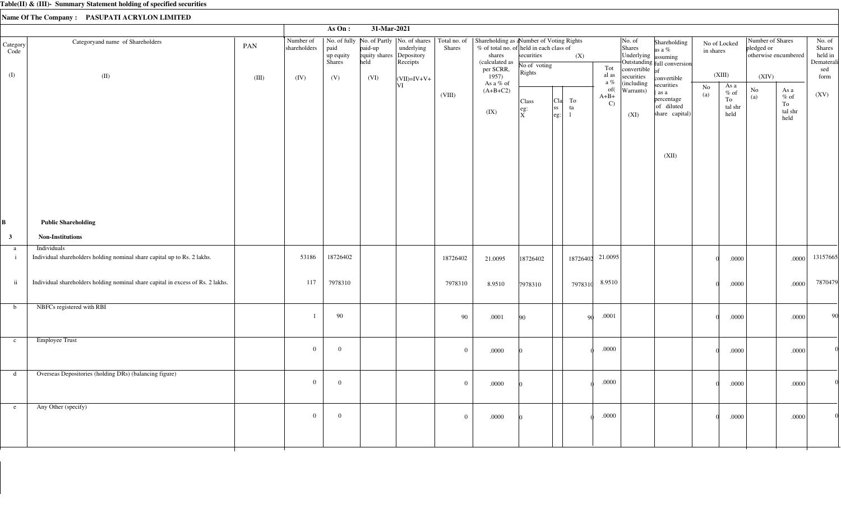|                                       |                                                                                         |              |                                   | As On:                             | 31-Mar-2021                                         |                                                                                                              |                |                                                                                                                                                     |                                      |                                                                                  |          |                                |                                                                                                 |                                                                            |                 |                                          |                                         |                                          |                                                          |
|---------------------------------------|-----------------------------------------------------------------------------------------|--------------|-----------------------------------|------------------------------------|-----------------------------------------------------|--------------------------------------------------------------------------------------------------------------|----------------|-----------------------------------------------------------------------------------------------------------------------------------------------------|--------------------------------------|----------------------------------------------------------------------------------|----------|--------------------------------|-------------------------------------------------------------------------------------------------|----------------------------------------------------------------------------|-----------------|------------------------------------------|-----------------------------------------|------------------------------------------|----------------------------------------------------------|
| $\text{Category}\vert$<br>Code<br>(I) | Categoryand name of Shareholders<br>(II)                                                | PAN<br>(III) | Number of<br>shareholders<br>(IV) | paid<br>up equity<br>Shares<br>(V) | paid-up<br>equity shares Depository<br>held<br>(VI) | No. of fully   No. of Partly   No. of shares   Total no. of<br>underlying<br>Receipts<br>$\vert$ (VII)=IV+V+ | <b>Shares</b>  | Shareholding as a Number of Voting Rights<br>% of total no. of held in each class of<br>shares<br>(calculated as<br>per SCRR,<br>1957)<br>As a % of | securities<br>No of voting<br>Rights |                                                                                  | (X)      | Tot<br>al as<br>a $\%$         | $\vert$ No. of<br>Shares<br>Underlying assuming<br>convertible $of$<br>securities<br>(including | Shareholding<br>as a $%$<br>Outstanding full conversion<br>convertible     | in shares       | No of Locked<br>(XIII)                   | Number of Shares<br>pledged or<br>(XIV) | otherwise encumbered                     | No. of<br>Shares<br>held in<br>Dematerali<br>sed<br>form |
|                                       |                                                                                         |              |                                   |                                    |                                                     | VI                                                                                                           | (VIII)         | $(A+B+C2)$<br>(IX)                                                                                                                                  | Class<br>eg:<br>$ \tilde{x} $        | <sub>C1a</sub>  <br>$\begin{array}{c} \n\text{ss} \\ \n\text{eg:} \n\end{array}$ | To<br>ta | of(<br>$A+B+$<br>$\mathcal{C}$ | Warrants)<br>(XI)                                                                               | securities<br>(as a<br>percentage<br>of diluted<br>share capital)<br>(XII) | $\rm No$<br>(a) | As a<br>$\%$ of<br>To<br>tal shr<br>held | $\rm No$<br>(a)                         | As a<br>$\%$ of<br>To<br>tal shr<br>held | (XV)                                                     |
| В                                     | <b>Public Shareholding</b>                                                              |              |                                   |                                    |                                                     |                                                                                                              |                |                                                                                                                                                     |                                      |                                                                                  |          |                                |                                                                                                 |                                                                            |                 |                                          |                                         |                                          |                                                          |
| $\mathbf{3}$                          | <b>Non-Institutions</b>                                                                 |              |                                   |                                    |                                                     |                                                                                                              |                |                                                                                                                                                     |                                      |                                                                                  |          |                                |                                                                                                 |                                                                            |                 |                                          |                                         |                                          |                                                          |
| a<br>$\mathbf{i}$                     | Individuals<br>Individual shareholders holding nominal share capital up to Rs. 2 lakhs. |              | 53186                             | 18726402                           |                                                     |                                                                                                              | 18726402       | 21.0095                                                                                                                                             | 18726402                             |                                                                                  | 18726402 | 21.0095                        |                                                                                                 |                                                                            |                 | .0000                                    |                                         | .0000                                    | 13157665                                                 |
| $\ddot{\mathbf{i}}$                   | Individual shareholders holding nominal share capital in excess of Rs. 2 lakhs.         |              | 117                               | 7978310                            |                                                     |                                                                                                              | 7978310        | 8.9510                                                                                                                                              | 7978310                              |                                                                                  | 7978310  | 8.9510                         |                                                                                                 |                                                                            |                 | .0000                                    |                                         | .0000                                    | 7870479                                                  |
| $\mathbf b$                           | NBFCs registered with RBI                                                               |              |                                   | 90                                 |                                                     |                                                                                                              | 90             | .0001                                                                                                                                               | 90                                   |                                                                                  | -90      | .0001                          |                                                                                                 |                                                                            |                 | .0000                                    |                                         | .0000                                    | 90                                                       |
| $\mathbf{c}$                          | Employee Trust                                                                          |              | $\overline{0}$                    | $\overline{0}$                     |                                                     |                                                                                                              | $\overline{0}$ | .0000                                                                                                                                               |                                      |                                                                                  |          | $.0000\,$                      |                                                                                                 |                                                                            |                 | .0000                                    |                                         | $.0000\,$                                |                                                          |
| d                                     | Overseas Depositories (holding DRs) (balancing figure)                                  |              | $\overline{0}$                    | $\mathbf{0}$                       |                                                     |                                                                                                              | $\overline{0}$ | .0000                                                                                                                                               |                                      |                                                                                  |          | .0000                          |                                                                                                 |                                                                            |                 | .0000                                    |                                         | .0000                                    |                                                          |
| e                                     | Any Other (specify)                                                                     |              | $\overline{0}$                    | $\mathbf{0}$                       |                                                     |                                                                                                              | $\overline{0}$ | $.0000$                                                                                                                                             |                                      |                                                                                  |          | .0000                          |                                                                                                 |                                                                            |                 | .0000                                    |                                         | .0000                                    |                                                          |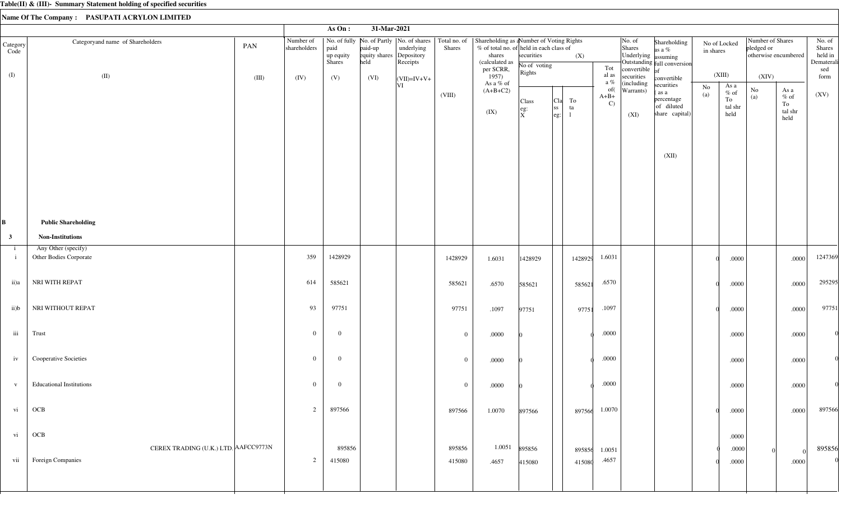|                              |                                                           |       |                           | As On:                      | 31-Mar-2021                                 |                                                                                       |                  |                                                                                                                              |                                 |                                                      |                  |                               |                                                                                |                                                                   |                               |                                          |                                                        |                                                                       |                                                  |
|------------------------------|-----------------------------------------------------------|-------|---------------------------|-----------------------------|---------------------------------------------|---------------------------------------------------------------------------------------|------------------|------------------------------------------------------------------------------------------------------------------------------|---------------------------------|------------------------------------------------------|------------------|-------------------------------|--------------------------------------------------------------------------------|-------------------------------------------------------------------|-------------------------------|------------------------------------------|--------------------------------------------------------|-----------------------------------------------------------------------|--------------------------------------------------|
| Category<br>Code             | Categoryand name of Shareholders                          | PAN   | Number of<br>shareholders | paid<br>up equity<br>Shares | paid-up<br>equity shares Depository<br>held | No. of fully   No. of Partly   No. of shares   Total no. of<br>underlying<br>Receipts | Shares           | Shareholding as aNumber of Voting Rights<br>% of total no. of held in each class of<br>shares<br>(calculated as<br>per SCRR, | securities<br>No of voting      |                                                      | (X)              | Tot                           | $\vert$ No. of<br>Shares<br>Underlying assuming<br>convertible $\overline{of}$ | Shareholding<br>as a %<br>Outstanding full conversion             | in shares                     | No of Locked                             | Number of Shares<br>pledged or<br>otherwise encumbered |                                                                       | No. of<br>Shares<br>held in<br>Dematerali<br>sed |
| (I)                          | (II)                                                      | (III) | (IV)                      | (V)                         | (VI)                                        | $ (VII)=IV+V+$                                                                        |                  | 1957)<br>As a % of                                                                                                           | Rights                          |                                                      |                  | al as<br>a $\%$               | securities<br>(including                                                       | convertible                                                       |                               | (XIII)                                   | (XIV)                                                  |                                                                       | form                                             |
|                              |                                                           |       |                           |                             |                                             | VI                                                                                    | (VIII)           | $(A+B+C2)$<br>(IX)                                                                                                           | Class<br>$e$ g:<br>$\mathbf{x}$ | <sub>C1a</sub>  <br>ss <br>$\left \text{eg:}\right $ | To<br>ta         | of(<br>$A+B+$<br>$\mathbf{C}$ | Warrants)<br>(XI)                                                              | securities<br>(as a<br>percentage<br>of diluted<br>share capital) | $\mathbf{N}\mathbf{o}$<br>(a) | As a<br>$\%$ of<br>To<br>tal shr<br>held | $\rm No$<br>(a)                                        | As a<br>$\%$ of<br>To<br>$\ensuremath{\text{tal}}\xspace$ shr<br>held | (XV)                                             |
|                              |                                                           |       |                           |                             |                                             |                                                                                       |                  |                                                                                                                              |                                 |                                                      |                  |                               |                                                                                | (XII)                                                             |                               |                                          |                                                        |                                                                       |                                                  |
|                              | <b>Public Shareholding</b>                                |       |                           |                             |                                             |                                                                                       |                  |                                                                                                                              |                                 |                                                      |                  |                               |                                                                                |                                                                   |                               |                                          |                                                        |                                                                       |                                                  |
| $\mathbf{3}$                 | <b>Non-Institutions</b>                                   |       |                           |                             |                                             |                                                                                       |                  |                                                                                                                              |                                 |                                                      |                  |                               |                                                                                |                                                                   |                               |                                          |                                                        |                                                                       |                                                  |
| $\mathbf{i}$<br>$\mathbf{i}$ | Any Other (specify)<br>Other Bodies Corporate             |       | 359                       | 1428929                     |                                             |                                                                                       | 1428929          | 1.6031                                                                                                                       | 1428929                         |                                                      | 1428929          | 1.6031                        |                                                                                |                                                                   |                               | .0000                                    |                                                        | .0000                                                                 | 1247369                                          |
| ii)a                         | NRI WITH REPAT                                            |       | 614                       | 585621                      |                                             |                                                                                       | 585621           | .6570                                                                                                                        | 585621                          |                                                      | 585621           | .6570                         |                                                                                |                                                                   |                               | $.0000$                                  |                                                        | .0000                                                                 | 295295                                           |
| $\mathbf{ii})\mathbf{b}$     | NRI WITHOUT REPAT                                         |       | 93                        | 97751                       |                                             |                                                                                       | 97751            | .1097                                                                                                                        | 97751                           |                                                      | 97751            | .1097                         |                                                                                |                                                                   |                               | .0000                                    |                                                        | .0000                                                                 | 97751                                            |
| iii                          | Trust                                                     |       | $\theta$                  | $\overline{0}$              |                                             |                                                                                       | $\overline{0}$   | .0000                                                                                                                        |                                 |                                                      |                  | .0000                         |                                                                                |                                                                   |                               | .0000                                    |                                                        | .0000                                                                 |                                                  |
| iv                           | <b>Cooperative Societies</b>                              |       | $\overline{0}$            | $\mathbf{0}$                |                                             |                                                                                       | $\overline{0}$   | $.0000\,$                                                                                                                    |                                 |                                                      |                  | .0000                         |                                                                                |                                                                   |                               | .0000                                    |                                                        | .0000                                                                 |                                                  |
| $\mathbf{V}$                 | <b>Educational Institutions</b>                           |       | $\mathbf{0}$              | $\overline{0}$              |                                             |                                                                                       | $\overline{0}$   | $.0000\,$                                                                                                                    |                                 |                                                      |                  | $.0000\,$                     |                                                                                |                                                                   |                               | .0000                                    |                                                        | .0000                                                                 |                                                  |
| vi                           | OCB                                                       |       | 2                         | 897566                      |                                             |                                                                                       | 897566           | 1.0070                                                                                                                       | 897566                          |                                                      | 897566           | 1.0070                        |                                                                                |                                                                   |                               | .0000                                    |                                                        | .0000                                                                 | 897566                                           |
| vi                           | OCB                                                       |       |                           |                             |                                             |                                                                                       |                  |                                                                                                                              |                                 |                                                      |                  |                               |                                                                                |                                                                   |                               | $.0000$                                  |                                                        |                                                                       |                                                  |
| vii                          | CEREX TRADING (U.K.) LTD. AAFCC9773N<br>Foreign Companies |       | 2                         | 895856<br>415080            |                                             |                                                                                       | 895856<br>415080 | 1.0051<br>.4657                                                                                                              | 895856<br>415080                |                                                      | 895856<br>415080 | 1.0051<br>.4657               |                                                                                |                                                                   |                               | .0000<br>$.0000$                         |                                                        | $\Omega$<br>.0000                                                     | 895856                                           |
|                              |                                                           |       |                           |                             |                                             |                                                                                       |                  |                                                                                                                              |                                 |                                                      |                  |                               |                                                                                |                                                                   |                               |                                          |                                                        |                                                                       |                                                  |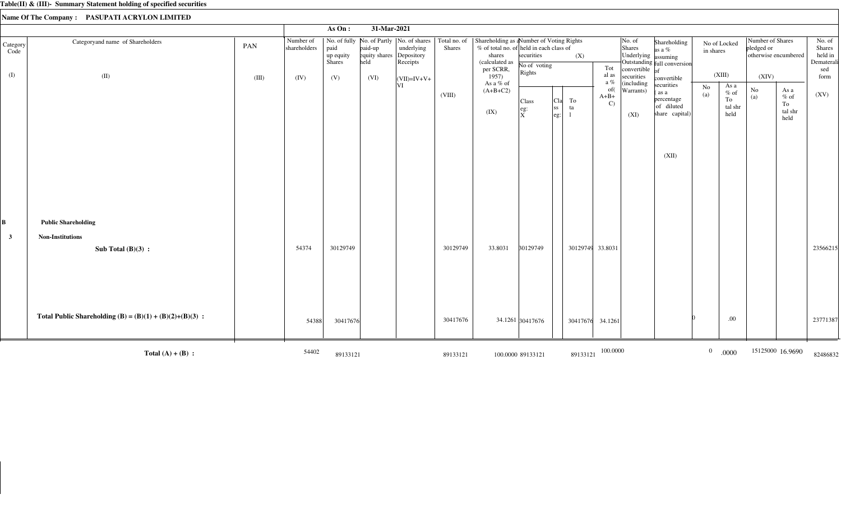|                  |                                                            |       |                           | As On:                             | 31-Mar-2021                      |                                                                                                  |          |                                                                                                                  |                            |                                             |                               |                                         |                                                                   |                |                                         |                                |                                          |                                           |
|------------------|------------------------------------------------------------|-------|---------------------------|------------------------------------|----------------------------------|--------------------------------------------------------------------------------------------------|----------|------------------------------------------------------------------------------------------------------------------|----------------------------|---------------------------------------------|-------------------------------|-----------------------------------------|-------------------------------------------------------------------|----------------|-----------------------------------------|--------------------------------|------------------------------------------|-------------------------------------------|
| Category<br>Code | Categoryand name of Shareholders                           | PAN   | Number of<br>shareholders | paid<br>up equity<br><b>Shares</b> | paid-up<br>equity shares<br>held | No. of fully No. of Partly  No. of shares   Total no. of<br>underlying<br>Depository<br>Receipts | Shares   | Shareholding as a Number of Voting Rights<br>% of total no. of held in each class of<br>shares<br>(calculated as | securities<br>No of voting | (X)                                         | Tot                           | No. of<br>Shares<br>Underlying assuming | Shareholding<br>as a $%$<br>Outstanding full conversion           | in shares      | No of Locked                            | Number of Shares<br>pledged or | otherwise encumbered                     | No. of<br>Shares<br>held in<br>Dematerali |
| (I)              | (II)                                                       | (III) | (IV)                      | (V)                                | (VI)                             | $\vert$ (VII)=IV+V+                                                                              |          | per SCRR,<br>1957)                                                                                               | Rights                     |                                             | al as<br>a $\%$               | convertible<br>securities               | convertible                                                       |                | (XIII)                                  | (XIV)                          |                                          | sed<br>form                               |
|                  |                                                            |       |                           |                                    |                                  | VI                                                                                               | (VIII)   | As a % of<br>$(A+B+C2)$<br>(IX)                                                                                  | Class<br>eg:<br>ΙX.        | <sub>C1a</sub>  <br>To<br>ta<br> SS<br> eg: | of(<br>$A+B+$<br>$\mathbf{C}$ | (including<br>Warrants)<br>(XI)         | securities<br>(as a<br>percentage<br>of diluted<br>share capital) | No<br>(a)      | As a<br>$%$ of<br>To<br>tal shr<br>held | $\rm No$<br>(a)                | As a<br>$\%$ of<br>To<br>tal shr<br>held | (XV)                                      |
|                  |                                                            |       |                           |                                    |                                  |                                                                                                  |          |                                                                                                                  |                            |                                             |                               |                                         | (XII)                                                             |                |                                         |                                |                                          |                                           |
| B                | <b>Public Shareholding</b>                                 |       |                           |                                    |                                  |                                                                                                  |          |                                                                                                                  |                            |                                             |                               |                                         |                                                                   |                |                                         |                                |                                          |                                           |
| $\mathbf{3}$     | <b>Non-Institutions</b><br>Sub Total $(B)(3)$ :            |       | 54374                     | 30129749                           |                                  |                                                                                                  | 30129749 | 33.8031                                                                                                          | 30129749                   | 30129749 33.8031                            |                               |                                         |                                                                   |                |                                         |                                |                                          | 23566215                                  |
|                  | Total Public Shareholding (B) = $(B)(1) + (B)(2)+(B)(3)$ : |       | 54388                     | 30417676                           |                                  |                                                                                                  | 30417676 |                                                                                                                  | 34.1261 30417676           | 30417676                                    | 34.1261                       |                                         |                                                                   |                | .00                                     |                                |                                          | 23771387                                  |
|                  | Total $(A) + (B)$ :                                        |       | 54402                     | 89133121                           |                                  |                                                                                                  | 89133121 |                                                                                                                  | 100.0000 89133121          | 89133121                                    | 100.0000                      |                                         |                                                                   | $\overline{0}$ | .0000                                   |                                | 15125000 16.9690                         | 82486832                                  |